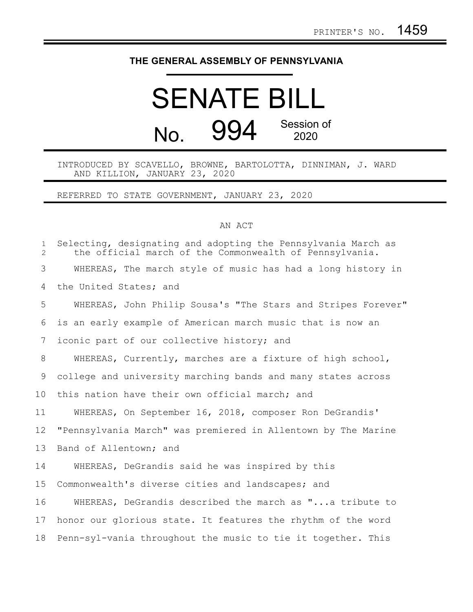## **THE GENERAL ASSEMBLY OF PENNSYLVANIA**

## SENATE BILL No. 994 Session of 2020

INTRODUCED BY SCAVELLO, BROWNE, BARTOLOTTA, DINNIMAN, J. WARD AND KILLION, JANUARY 23, 2020

REFERRED TO STATE GOVERNMENT, JANUARY 23, 2020

## AN ACT

| $\mathbf{1}$<br>$\overline{2}$ | Selecting, designating and adopting the Pennsylvania March as<br>the official march of the Commonwealth of Pennsylvania. |
|--------------------------------|--------------------------------------------------------------------------------------------------------------------------|
| 3                              | WHEREAS, The march style of music has had a long history in                                                              |
| 4                              | the United States; and                                                                                                   |
| 5                              | WHEREAS, John Philip Sousa's "The Stars and Stripes Forever"                                                             |
| 6                              | is an early example of American march music that is now an                                                               |
| 7                              | iconic part of our collective history; and                                                                               |
| 8                              | WHEREAS, Currently, marches are a fixture of high school,                                                                |
| 9                              | college and university marching bands and many states across                                                             |
| 10                             | this nation have their own official march; and                                                                           |
| 11                             | WHEREAS, On September 16, 2018, composer Ron DeGrandis'                                                                  |
| 12                             | "Pennsylvania March" was premiered in Allentown by The Marine                                                            |
| 13                             | Band of Allentown; and                                                                                                   |
| 14                             | WHEREAS, DeGrandis said he was inspired by this                                                                          |
| 15                             | Commonwealth's diverse cities and landscapes; and                                                                        |
| 16                             | WHEREAS, DeGrandis described the march as "a tribute to                                                                  |
| 17                             | honor our glorious state. It features the rhythm of the word                                                             |
| 18                             | Penn-syl-vania throughout the music to tie it together. This                                                             |